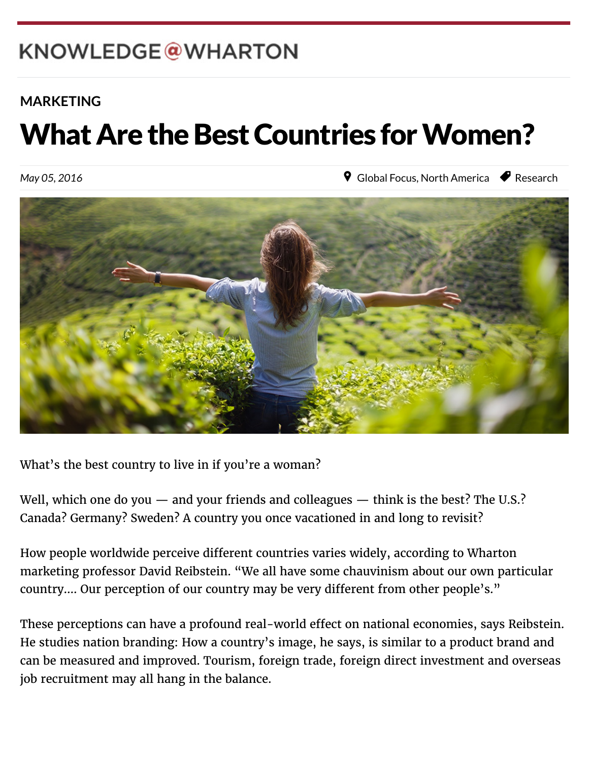## KNOWLEDGE@WHARTON

 $W_{\rm eff}$  which is the Pennsylvanian of  $P_{\rm eff}$ 

### **[MARKETING](http://knowledge.wharton.upenn.edu/topic/marketing/)**

# What Are the Best Countries for Women?

May 05, 2016

**9** [Global Focus,](http://knowledge.wharton.upenn.edu/region/global-focus/) [North America](http://knowledge.wharton.upenn.edu/region/north-america/) *P* [Research](http://knowledge.wharton.upenn.edu/category/research/)



What's the best country to live in if you're a woman?

Well, which one do you  $-$  and your friends and colleagues  $-$  think is the best? The U.S.? Canada? Germany? Sweden? A country you once vacationed in and long to revisit?

How people worldwide perceive different countries varies widely, according to Wharton marketing professor David Reibstein. "We all have some chauvinism about our own particular country.... Our perception of our country may be very different from other people's."

These perceptions can have a profound real-world effect on national economies, says Reibstein. He studies nation branding: How a country's image, he says, is similar to a product brand and can be measured and improved. Tourism, foreign trade, foreign direct investment and overseas job recruitment may all hang in the balance.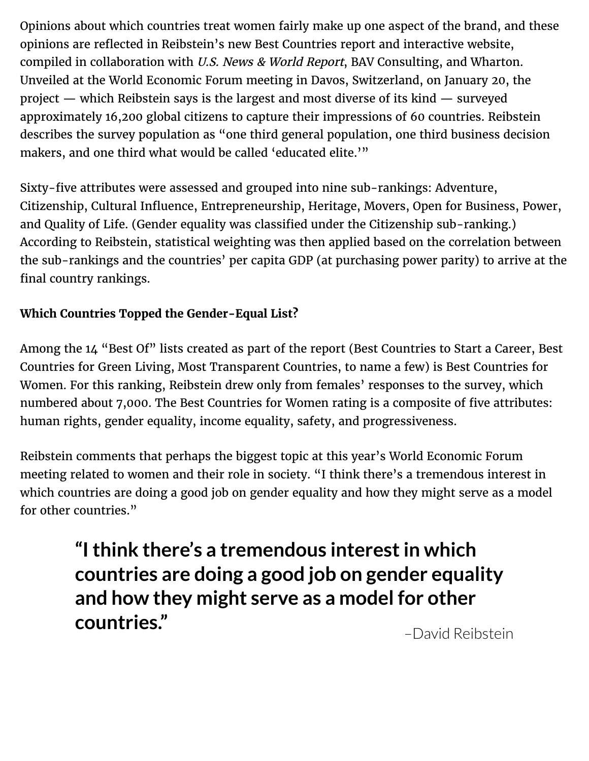Opinions about which countries treat women fairly make up one aspect of the brand, and these opinions are reflected in Reibstein's new Best Countries report and interactive website, compiled in collaboration with U.S. News & World Report, BAV Consulting, and Wharton. Unveiled at the World Economic Forum meeting in Davos, Switzerland, on January 20, the project — which Reibstein says is the largest and most diverse of its kind — surveyed approximately 16,200 global citizens to capture their impressions of 60 countries. Reibstein describes the survey population as "one third general population, one third business decision makers, and one third what would be called 'educated elite.'"

Sixty-five attributes were assessed and grouped into nine sub-rankings: Adventure, Citizenship, Cultural Influence, Entrepreneurship, Heritage, Movers, Open for Business, Power, and Quality of Life. (Gender equality was classified under the Citizenship sub-ranking.) According to Reibstein, statistical weighting was then applied based on the correlation between the sub-rankings and the countries' per capita GDP (at purchasing power parity) to arrive at the final country rankings.

#### **Which Countries Topped the Gender-Equal List?**

Among the 14 "Best Of" lists created as part of the report (Best Countries to Start a Career, Best Countries for Green Living, Most Transparent Countries, to name a few) is Best Countries for Women. For this ranking, Reibstein drew only from females' responses to the survey, which numbered about 7,000. The Best Countries for Women rating is a composite of five attributes: human rights, gender equality, income equality, safety, and progressiveness.

Reibstein comments that perhaps the biggest topic at this year's World Economic Forum meeting related to women and their role in society. "I think there's a tremendous interest in which countries are doing a good job on gender equality and how they might serve as a model for other countries."

> **"I think there's a tremendous interest in which countries are doing a good job on gender equality and how they might serve as a model for other countries."**

–David Reibstein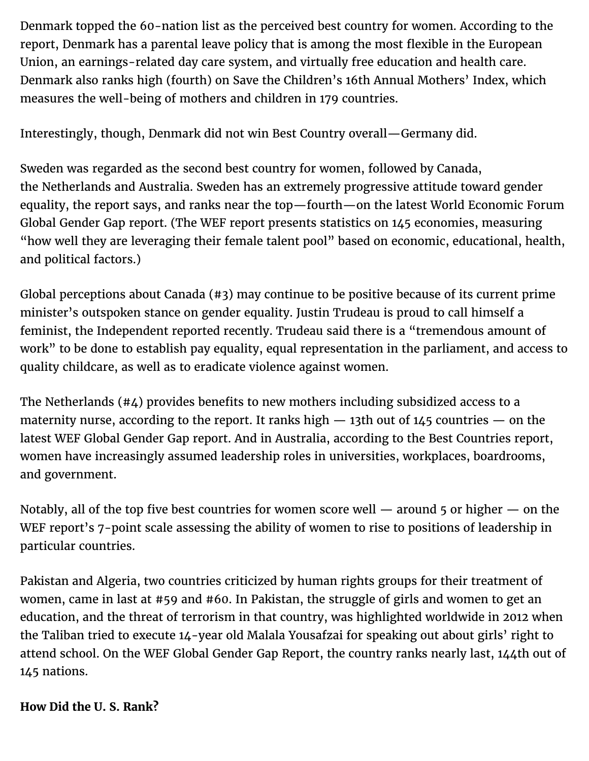Denmark topped the 60-nation list as the perceived best country for women. According to the report, Denmark has a parental leave policy that is among the most flexible in the European Union, an earnings-related day care system, and virtually free education and health care. Denmark also ranks high (fourth) on Save the Children's 16th Annual Mothers' Index, which measures the well-being of mothers and children in 179 countries.

Interestingly, though, Denmark did not win Best Country overall—Germany did.

Sweden was regarded as the second best country for women, followed by Canada, the Netherlands and Australia. Sweden has an extremely progressive attitude toward gender equality, the report says, and ranks near the top—fourth—on the latest World Economic Forum Global Gender Gap report. (The WEF report presents statistics on 145 economies, measuring "how well they are leveraging their female talent pool" based on economic, educational, health, and political factors.)

Global perceptions about Canada (#3) may continue to be positive because of its current prime minister's outspoken stance on gender equality. Justin Trudeau is proud to call himself a feminist, the Independent reported recently. Trudeau said there is a "tremendous amount of work" to be done to establish pay equality, equal representation in the parliament, and access to quality childcare, as well as to eradicate violence against women.

The Netherlands (#4) provides benefits to new mothers including subsidized access to a maternity nurse, according to the report. It ranks high  $-$  13th out of 145 countries  $-$  on the latest WEF Global Gender Gap report. And in Australia, according to the Best Countries report, women have increasingly assumed leadership roles in universities, workplaces, boardrooms, and government.

Notably, all of the top five best countries for women score well — around 5 or higher — on the WEF report's 7-point scale assessing the ability of women to rise to positions of leadership in particular countries.

Pakistan and Algeria, two countries criticized by human rights groups for their treatment of women, came in last at #59 and #60. In Pakistan, the struggle of girls and women to get an education, and the threat of terrorism in that country, was highlighted worldwide in 2012 when the Taliban tried to execute 14-year old Malala Yousafzai for speaking out about girls' right to attend school. On the WEF Global Gender Gap Report, the country ranks nearly last, 144th out of 145 nations.

#### **How Did the U. S. Rank?**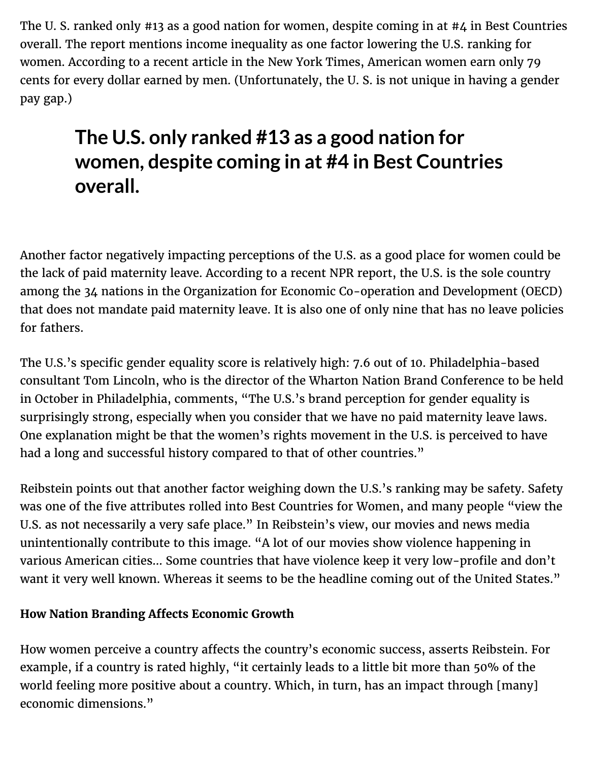The U. S. ranked only #13 as a good nation for women, despite coming in at #4 in Best Countries overall. The report mentions income inequality as one factor lowering the U.S. ranking for women. According to a recent article in the New York Times, American women earn only 79 cents for every dollar earned by men. (Unfortunately, the U. S. is not unique in having a gender pay gap.)

## **The U.S. only ranked #13 as a good nation for women, despite coming in at #4 in Best Countries overall.**

Another factor negatively impacting perceptions of the U.S. as a good place for women could be the lack of paid maternity leave. According to a recent NPR report, the U.S. is the sole country among the 34 nations in the Organization for Economic Co-operation and Development (OECD) that does not mandate paid maternity leave. It is also one of only nine that has no leave policies for fathers.

The U.S.'s specific gender equality score is relatively high: 7.6 out of 10. Philadelphia-based consultant Tom Lincoln, who is the director of the [Wharton Nation Brand Conference](http://www.whartonnationbrandconference.com/) to be held in October in Philadelphia, comments, "The U.S.'s brand perception for gender equality is surprisingly strong, especially when you consider that we have no paid maternity leave laws. One explanation might be that the women's rights movement in the U.S. is perceived to have had a long and successful history compared to that of other countries."

Reibstein points out that another factor weighing down the U.S.'s ranking may be safety. Safety was one of the five attributes rolled into Best Countries for Women, and many people "view the U.S. as not necessarily a very safe place." In Reibstein's view, our movies and news media unintentionally contribute to this image. "A lot of our movies show violence happening in various American cities… Some countries that have violence keep it very low-profile and don't want it very well known. Whereas it seems to be the headline coming out of the United States."

#### **How Nation Branding A!ects Economic Growth**

How women perceive a country affects the country's economic success, asserts Reibstein. For example, if a country is rated highly, "it certainly leads to a little bit more than 50% of the world feeling more positive about a country. Which, in turn, has an impact through [many] economic dimensions."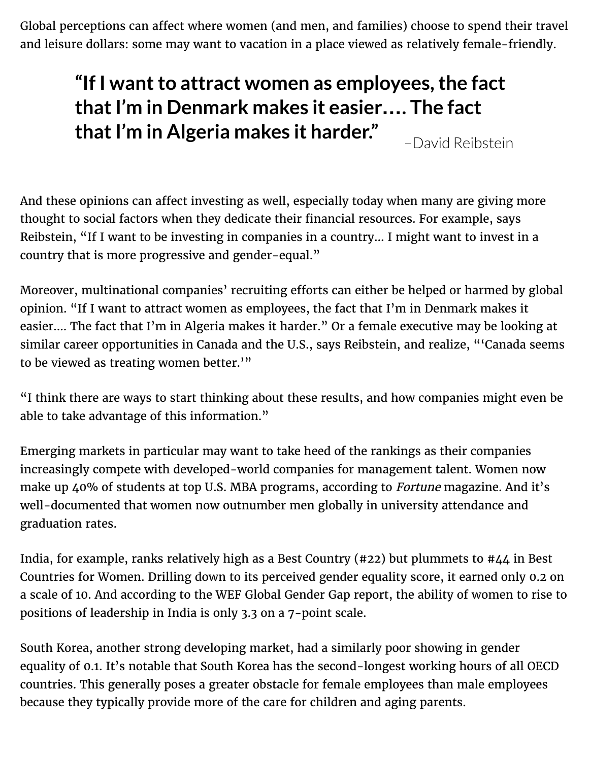Global perceptions can affect where women (and men, and families) choose to spend their travel and leisure dollars: some may want to vacation in a place viewed as relatively female-friendly.

## **"If I want to attract women as employees, the fact that I'm in Denmark makes it easier…. The fact that I'm in Algeria makes it harder."**

–David Reibstein

And these opinions can affect investing as well, especially today when many are giving more thought to social factors when they dedicate their financial resources. For example, says Reibstein, "If I want to be investing in companies in a country… I might want to invest in a country that is more progressive and gender-equal."

Moreover, multinational companies' recruiting efforts can either be helped or harmed by global opinion. "If I want to attract women as employees, the fact that I'm in Denmark makes it easier…. The fact that I'm in Algeria makes it harder." Or a female executive may be looking at similar career opportunities in Canada and the U.S., says Reibstein, and realize, "'Canada seems to be viewed as treating women better.'"

"I think there are ways to start thinking about these results, and how companies might even be able to take advantage of this information."

Emerging markets in particular may want to take heed of the rankings as their companies increasingly compete with developed-world companies for management talent. Women now make up 40% of students at top U.S. MBA programs, according to Fortune magazine. And it's well-documented that women now outnumber men globally in university attendance and graduation rates.

India, for example, ranks relatively high as a Best Country (#22) but plummets to #44 in Best Countries for Women. Drilling down to its perceived gender equality score, it earned only 0.2 on a scale of 10. And according to the WEF Global Gender Gap report, the ability of women to rise to positions of leadership in India is only 3.3 on a 7-point scale.

South Korea, another strong developing market, had a similarly poor showing in gender equality of 0.1. It's notable that South Korea has the second-longest working hours of all OECD countries. This generally poses a greater obstacle for female employees than male employees because they typically provide more of the care for children and aging parents.